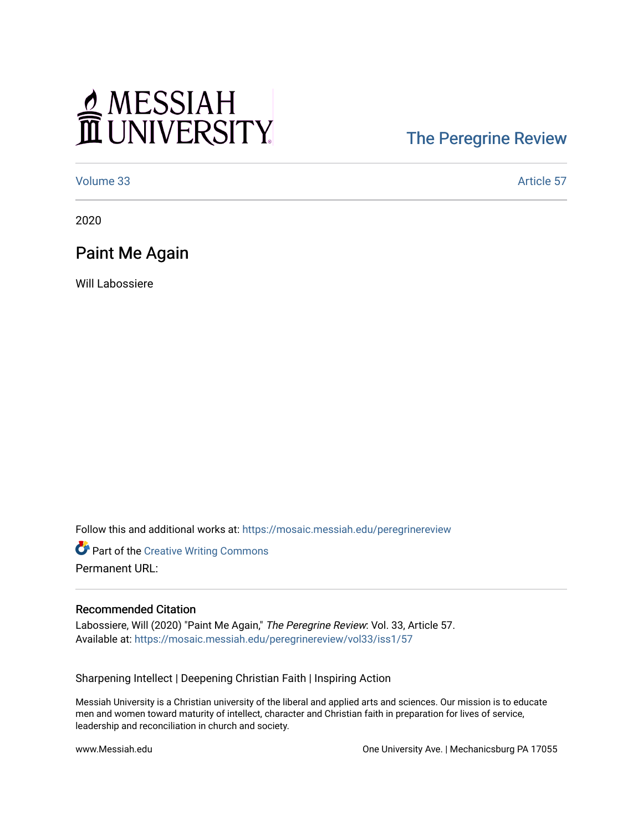# MESSIAH

## [The Peregrine Review](https://mosaic.messiah.edu/peregrinereview)

[Volume 33](https://mosaic.messiah.edu/peregrinereview/vol33) Article 57

2020

### Paint Me Again

Will Labossiere

Follow this and additional works at: [https://mosaic.messiah.edu/peregrinereview](https://mosaic.messiah.edu/peregrinereview?utm_source=mosaic.messiah.edu%2Fperegrinereview%2Fvol33%2Fiss1%2F57&utm_medium=PDF&utm_campaign=PDFCoverPages) 

**Part of the Creative Writing Commons** Permanent URL:

#### Recommended Citation

Labossiere, Will (2020) "Paint Me Again," The Peregrine Review: Vol. 33, Article 57. Available at: [https://mosaic.messiah.edu/peregrinereview/vol33/iss1/57](https://mosaic.messiah.edu/peregrinereview/vol33/iss1/57?utm_source=mosaic.messiah.edu%2Fperegrinereview%2Fvol33%2Fiss1%2F57&utm_medium=PDF&utm_campaign=PDFCoverPages)

Sharpening Intellect | Deepening Christian Faith | Inspiring Action

Messiah University is a Christian university of the liberal and applied arts and sciences. Our mission is to educate men and women toward maturity of intellect, character and Christian faith in preparation for lives of service, leadership and reconciliation in church and society.

www.Messiah.edu One University Ave. | Mechanicsburg PA 17055